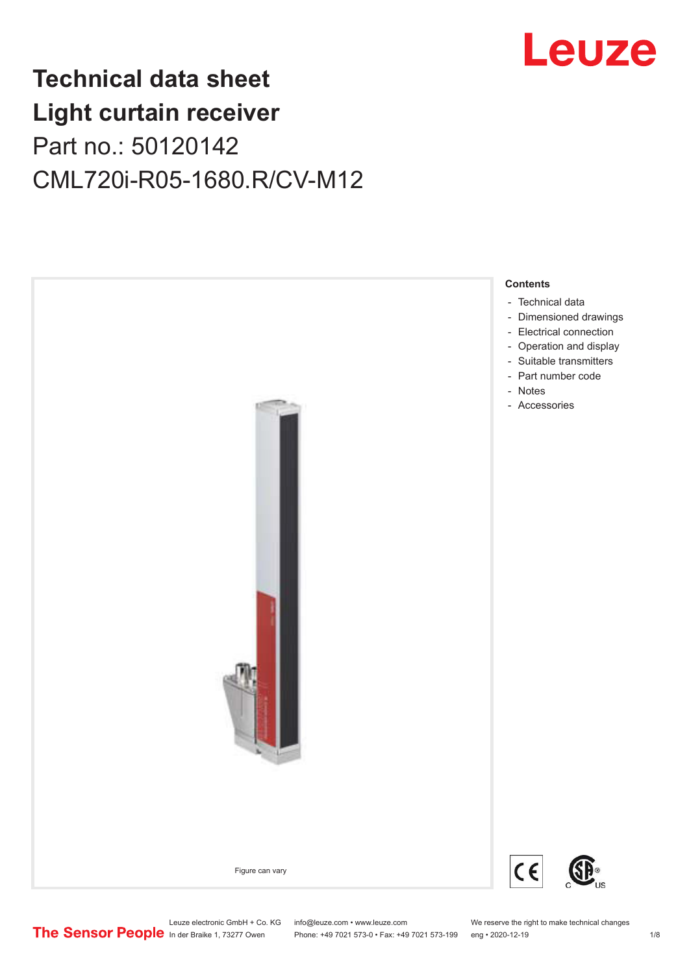

## **Technical data sheet Light curtain receiver** Part no.: 50120142 CML720i-R05-1680.R/CV-M12



Leuze electronic GmbH + Co. KG info@leuze.com • www.leuze.com We reserve the right to make technical changes<br>
The Sensor People in der Braike 1, 73277 Owen Phone: +49 7021 573-0 • Fax: +49 7021 573-199 eng • 2020-12-19

Phone: +49 7021 573-0 • Fax: +49 7021 573-199 eng • 2020-12-19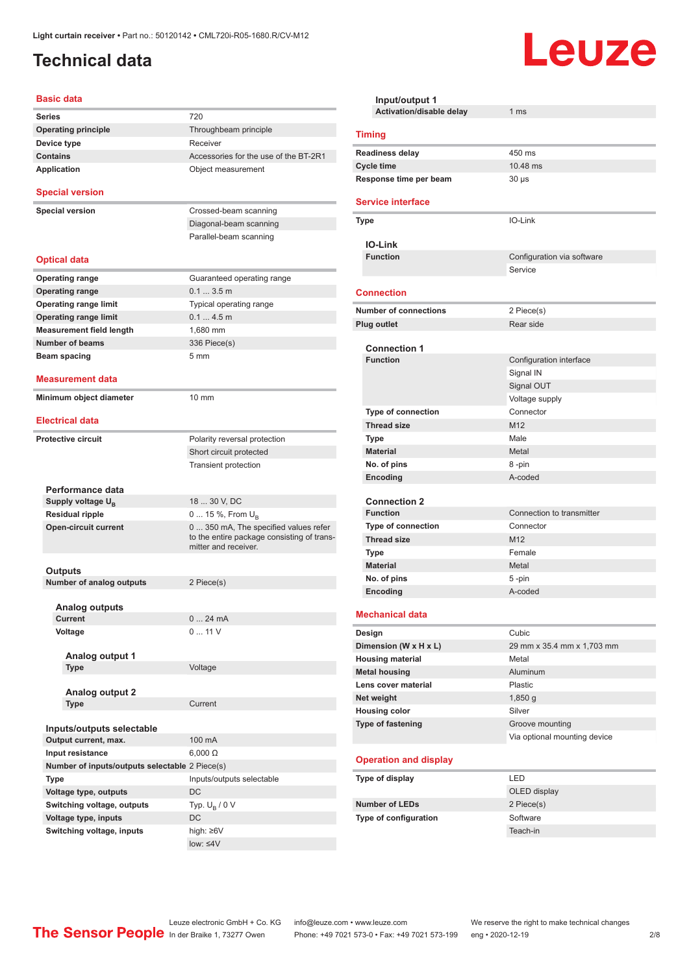## <span id="page-1-0"></span>**Technical data**

#### **Basic data**

| <b>Series</b>                                  | 720                                                                                                        |
|------------------------------------------------|------------------------------------------------------------------------------------------------------------|
| <b>Operating principle</b>                     | Throughbeam principle                                                                                      |
| Device type                                    | Receiver                                                                                                   |
| <b>Contains</b>                                | Accessories for the use of the BT-2R1                                                                      |
| <b>Application</b>                             | Object measurement                                                                                         |
| <b>Special version</b>                         |                                                                                                            |
| <b>Special version</b>                         | Crossed-beam scanning                                                                                      |
|                                                | Diagonal-beam scanning                                                                                     |
|                                                | Parallel-beam scanning                                                                                     |
|                                                |                                                                                                            |
| <b>Optical data</b>                            |                                                                                                            |
| <b>Operating range</b>                         | Guaranteed operating range                                                                                 |
| <b>Operating range</b>                         | $0.13.5$ m                                                                                                 |
| <b>Operating range limit</b>                   | Typical operating range                                                                                    |
| <b>Operating range limit</b>                   | 0.14.5m                                                                                                    |
| <b>Measurement field length</b>                | 1,680 mm                                                                                                   |
| <b>Number of beams</b>                         | 336 Piece(s)                                                                                               |
| Beam spacing                                   | 5 <sub>mm</sub>                                                                                            |
| Measurement data                               |                                                                                                            |
|                                                |                                                                                                            |
| Minimum object diameter                        | $10 \text{ mm}$                                                                                            |
| <b>Electrical data</b>                         |                                                                                                            |
| <b>Protective circuit</b>                      | Polarity reversal protection                                                                               |
|                                                | Short circuit protected                                                                                    |
|                                                | Transient protection                                                                                       |
|                                                |                                                                                                            |
| Performance data                               |                                                                                                            |
| Supply voltage U <sub>B</sub>                  | 18  30 V, DC                                                                                               |
| <b>Residual ripple</b>                         | 0  15 %, From $U_B$                                                                                        |
| <b>Open-circuit current</b>                    | 0 350 mA, The specified values refer<br>to the entire package consisting of trans-<br>mitter and receiver. |
|                                                |                                                                                                            |
| Outputs                                        |                                                                                                            |
| <b>Number of analog outputs</b>                | 2 Piece(s)                                                                                                 |
| Analog outputs                                 |                                                                                                            |
| Current                                        | 024mA                                                                                                      |
| Voltage                                        | 011V                                                                                                       |
|                                                |                                                                                                            |
| Analog output 1                                |                                                                                                            |
| <b>Type</b>                                    | Voltage                                                                                                    |
| <b>Analog output 2</b>                         |                                                                                                            |
| Type                                           | Current                                                                                                    |
|                                                |                                                                                                            |
| Inputs/outputs selectable                      |                                                                                                            |
| Output current, max.                           | 100 mA                                                                                                     |
| Input resistance                               | $6,000 \Omega$                                                                                             |
| Number of inputs/outputs selectable 2 Piece(s) |                                                                                                            |
| Type                                           | Inputs/outputs selectable                                                                                  |
| Voltage type, outputs                          | DC                                                                                                         |
| Switching voltage, outputs                     | Typ. $U_B / 0 V$                                                                                           |
| Voltage type, inputs                           | DC                                                                                                         |
| Switching voltage, inputs                      | high: ≥6V                                                                                                  |
|                                                | $low: 4V$                                                                                                  |
|                                                |                                                                                                            |

| Input/output 1                         |                              |  |
|----------------------------------------|------------------------------|--|
| Activation/disable delay               | 1 ms                         |  |
| <b>Timing</b>                          |                              |  |
| Readiness delay                        | 450 ms                       |  |
| <b>Cycle time</b>                      | 10.48 ms                     |  |
| Response time per beam                 | $30 \mu s$                   |  |
| <b>Service interface</b>               |                              |  |
| Type                                   | IO-Link                      |  |
| <b>IO-Link</b>                         |                              |  |
| <b>Function</b>                        | Configuration via software   |  |
|                                        | Service                      |  |
| <b>Connection</b>                      |                              |  |
| <b>Number of connections</b>           | 2 Piece(s)                   |  |
| <b>Plug outlet</b>                     | Rear side                    |  |
|                                        |                              |  |
| <b>Connection 1</b><br><b>Function</b> |                              |  |
|                                        | Configuration interface      |  |
|                                        | Signal IN                    |  |
|                                        | Signal OUT<br>Voltage supply |  |
| <b>Type of connection</b>              | Connector                    |  |
| <b>Thread size</b>                     | M12                          |  |
| <b>Type</b>                            | Male                         |  |
| <b>Material</b>                        | Metal                        |  |
| No. of pins                            | 8-pin                        |  |
| Encoding                               | A-coded                      |  |
|                                        |                              |  |
| <b>Connection 2</b>                    |                              |  |
| <b>Function</b>                        | Connection to transmitter    |  |
| <b>Type of connection</b>              | Connector                    |  |
| <b>Thread size</b>                     | M12                          |  |
| Type                                   | Female                       |  |
| <b>Material</b>                        | Metal                        |  |
| No. of pins                            | 5-pin                        |  |
| Encoding                               | A-coded                      |  |
| <b>Mechanical data</b>                 |                              |  |
| Design                                 | Cubic                        |  |
| Dimension (W x H x L)                  | 29 mm x 35.4 mm x 1,703 mm   |  |
| <b>Housing material</b>                | Metal                        |  |
| <b>Metal housing</b>                   | Aluminum                     |  |
| Lens cover material                    | Plastic                      |  |
| Net weight                             | 1,850q                       |  |
| <b>Housing color</b>                   | Silver                       |  |
| <b>Type of fastening</b>               | Groove mounting              |  |
|                                        | Via optional mounting device |  |
| <b>Operation and display</b>           |                              |  |
| Type of display                        | LED                          |  |
|                                        | OLED display                 |  |
| <b>Number of LEDs</b>                  | 2 Piece(s)                   |  |
| Type of configuration                  | Software                     |  |
|                                        | Teach-in                     |  |

Leuze

Leuze electronic GmbH + Co. KG info@leuze.com • www.leuze.com We reserve the right to make technical changes

ln der Braike 1, 73277 Owen Phone: +49 7021 573-0 • Fax: +49 7021 573-199 eng • 2020-12-19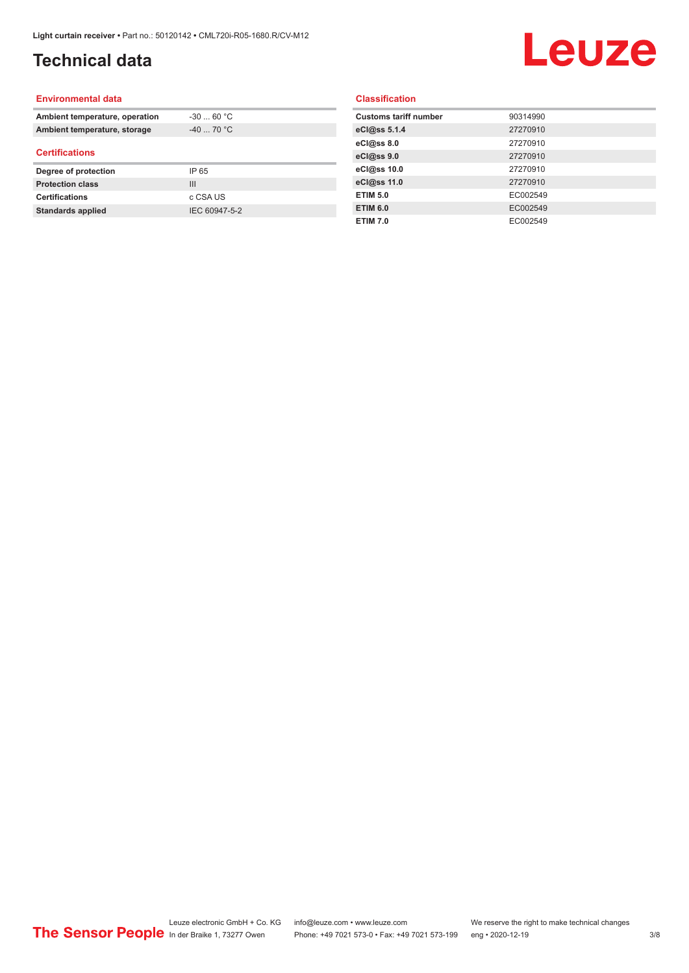## **Technical data**

# Leuze

#### **Environmental data**

| Ambient temperature, operation | $-30$ 60 °C |  |
|--------------------------------|-------------|--|
| Ambient temperature, storage   | $-40$ 70 °C |  |
| <b>Certifications</b>          |             |  |
|                                |             |  |
| Degree of protection           | IP 65       |  |
| <b>Protection class</b>        | Ш           |  |
| <b>Certifications</b>          | c CSA US    |  |

#### **Classification**

| <b>Customs tariff number</b> | 90314990 |
|------------------------------|----------|
| eCl@ss 5.1.4                 | 27270910 |
| eCl@ss 8.0                   | 27270910 |
| eCl@ss 9.0                   | 27270910 |
| eCl@ss 10.0                  | 27270910 |
| eCl@ss 11.0                  | 27270910 |
| <b>ETIM 5.0</b>              | EC002549 |
| <b>ETIM 6.0</b>              | EC002549 |
| <b>ETIM 7.0</b>              | EC002549 |
|                              |          |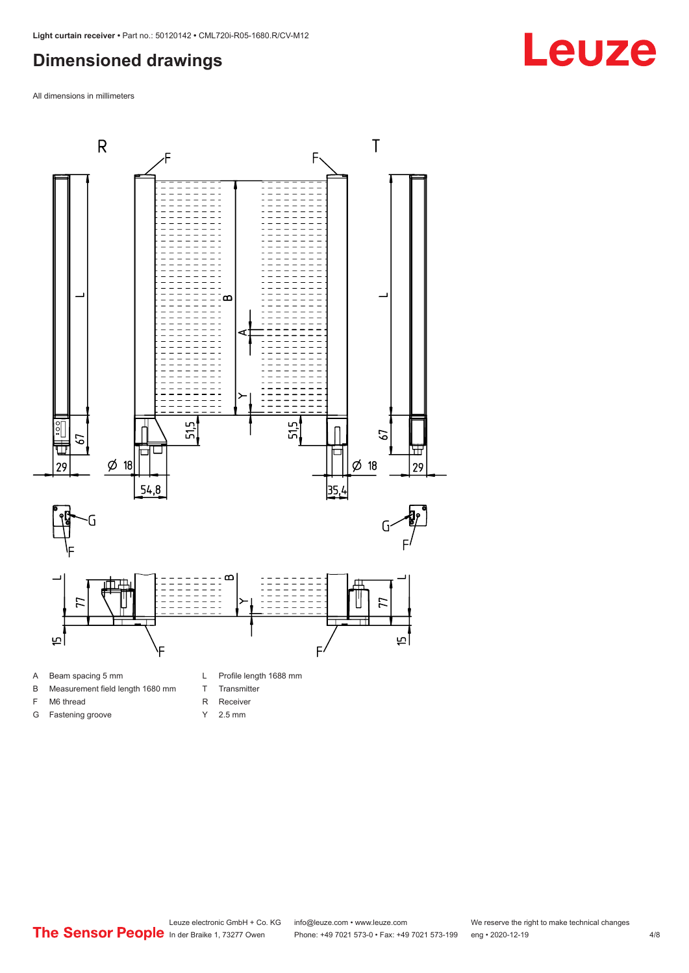### <span id="page-3-0"></span>**Dimensioned drawings**

All dimensions in millimeters



A Beam spacing 5 mm

G Fastening groove

- B Measurement field length 1680 mm
- F M6 thread
- R Receiver
	- Y 2.5 mm

T Transmitter

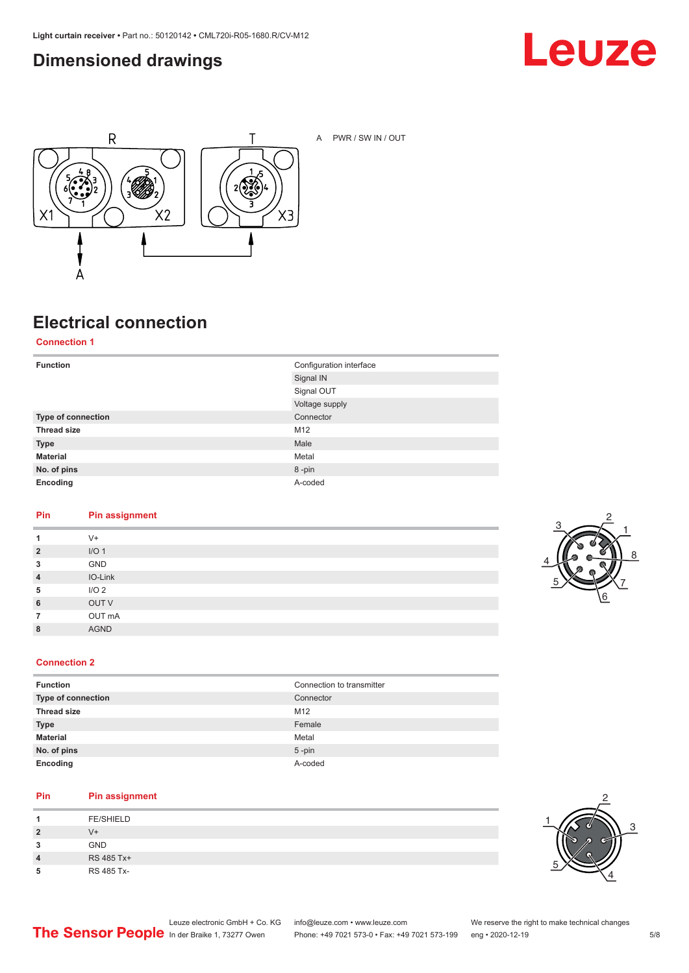### <span id="page-4-0"></span>**Dimensioned drawings**





A PWR / SW IN / OUT

## **Electrical connection**

**Connection 1**

| <b>Function</b>    | Configuration interface<br>Signal IN |
|--------------------|--------------------------------------|
|                    | Signal OUT                           |
|                    | Voltage supply                       |
| Type of connection | Connector                            |
| <b>Thread size</b> | M12                                  |
| <b>Type</b>        | Male                                 |
| <b>Material</b>    | Metal                                |
| No. of pins        | 8-pin                                |
| Encoding           | A-coded                              |

#### **Pin Pin assignment**

| 1              | $V +$            |
|----------------|------------------|
| $\overline{2}$ | I/O <sub>1</sub> |
| 3              | GND              |
| $\overline{4}$ | IO-Link          |
| 5              | I/O <sub>2</sub> |
| 6              | OUT V            |
| $\overline{7}$ | OUT mA           |
| 8              | <b>AGND</b>      |
|                |                  |



#### **Connection 2**

| <b>Function</b>    | Connection to transmitter |
|--------------------|---------------------------|
| Type of connection | Connector                 |
| <b>Thread size</b> | M12                       |
| <b>Type</b>        | Female                    |
| <b>Material</b>    | Metal                     |
| No. of pins        | $5$ -pin                  |
| Encoding           | A-coded                   |

#### **Pin Pin assignment**

| л              | <b>FE/SHIELD</b> |
|----------------|------------------|
| $\overline{2}$ | V+               |
| 3              | <b>GND</b>       |
| 4              | RS 485 Tx+       |
| 5              | RS 485 Tx-       |

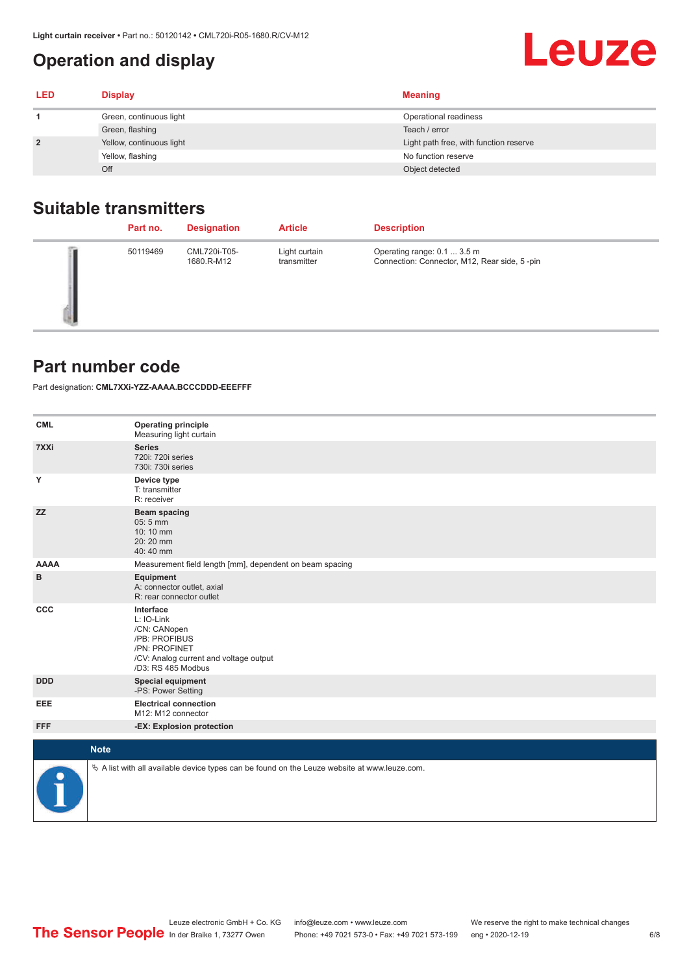## <span id="page-5-0"></span>**Operation and display**

| <b>LED</b>     | <b>Display</b>           | <b>Meaning</b>                         |
|----------------|--------------------------|----------------------------------------|
|                | Green, continuous light  | Operational readiness                  |
|                | Green, flashing          | Teach / error                          |
| $\overline{2}$ | Yellow, continuous light | Light path free, with function reserve |
|                | Yellow, flashing         | No function reserve                    |
|                | Off                      | Object detected                        |

#### **Suitable transmitters**

| Part no. | <b>Designation</b>         | <b>Article</b>               | <b>Description</b>                                                          |
|----------|----------------------------|------------------------------|-----------------------------------------------------------------------------|
| 50119469 | CML720i-T05-<br>1680.R-M12 | Light curtain<br>transmitter | Operating range: 0.1  3.5 m<br>Connection: Connector, M12, Rear side, 5-pin |

#### **Part number code**

Part designation: **CML7XXi-YZZ-AAAA.BCCCDDD-EEEFFF**

| <b>CML</b>           | <b>Operating principle</b><br>Measuring light curtain                                                                                     |
|----------------------|-------------------------------------------------------------------------------------------------------------------------------------------|
| 7XXi                 | <b>Series</b><br>720i: 720i series<br>730i: 730i series                                                                                   |
| Y                    | Device type<br>T: transmitter<br>R: receiver                                                                                              |
| <b>ZZ</b>            | <b>Beam spacing</b><br>05:5 mm<br>10:10 mm<br>20:20 mm<br>40:40 mm                                                                        |
| <b>AAAA</b>          | Measurement field length [mm], dependent on beam spacing                                                                                  |
| в                    | Equipment<br>A: connector outlet, axial<br>R: rear connector outlet                                                                       |
| CCC                  | Interface<br>L: IO-Link<br>/CN: CANopen<br>/PB: PROFIBUS<br>/PN: PROFINET<br>/CV: Analog current and voltage output<br>/D3: RS 485 Modbus |
| <b>DDD</b>           | <b>Special equipment</b><br>-PS: Power Setting                                                                                            |
| <b>EEE</b>           | <b>Electrical connection</b><br>M12: M12 connector                                                                                        |
| <b>FFF</b>           | -EX: Explosion protection                                                                                                                 |
| <b>Note</b>          |                                                                                                                                           |
|                      |                                                                                                                                           |
| $\ddot{\phantom{1}}$ | $\&$ A list with all available device types can be found on the Leuze website at www.leuze.com.                                           |

**Leuze**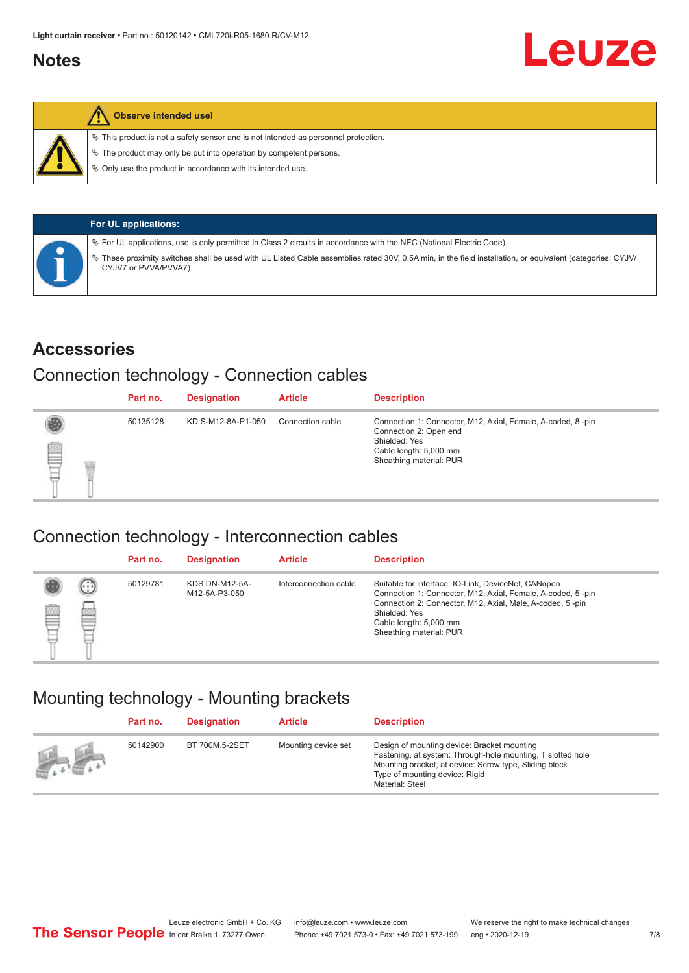#### <span id="page-6-0"></span>**Notes**



#### **Observe intended use!**

 $\%$  This product is not a safety sensor and is not intended as personnel protection.

 $\%$  The product may only be put into operation by competent persons.

 $\%$  Only use the product in accordance with its intended use.

| <b>For UL applications:</b>                                                                                                                                                     |
|---------------------------------------------------------------------------------------------------------------------------------------------------------------------------------|
| $\%$ For UL applications, use is only permitted in Class 2 circuits in accordance with the NEC (National Electric Code).                                                        |
| These proximity switches shall be used with UL Listed Cable assemblies rated 30V, 0.5A min, in the field installation, or equivalent (categories: CYJV/<br>CYJV7 or PVVA/PVVA7) |

#### **Accessories**

#### Connection technology - Connection cables

|   | Part no. | <b>Designation</b> | <b>Article</b>   | <b>Description</b>                                                                                                                                          |
|---|----------|--------------------|------------------|-------------------------------------------------------------------------------------------------------------------------------------------------------------|
| ▇ | 50135128 | KD S-M12-8A-P1-050 | Connection cable | Connection 1: Connector, M12, Axial, Female, A-coded, 8-pin<br>Connection 2: Open end<br>Shielded: Yes<br>Cable length: 5,000 mm<br>Sheathing material: PUR |

#### Connection technology - Interconnection cables

|   |                   | Part no. | <b>Designation</b>                     | <b>Article</b>        | <b>Description</b>                                                                                                                                                                                                                                    |
|---|-------------------|----------|----------------------------------------|-----------------------|-------------------------------------------------------------------------------------------------------------------------------------------------------------------------------------------------------------------------------------------------------|
| e | $(\cdot$ : :<br>œ | 50129781 | <b>KDS DN-M12-5A-</b><br>M12-5A-P3-050 | Interconnection cable | Suitable for interface: IO-Link, DeviceNet, CANopen<br>Connection 1: Connector, M12, Axial, Female, A-coded, 5-pin<br>Connection 2: Connector, M12, Axial, Male, A-coded, 5-pin<br>Shielded: Yes<br>Cable length: 5,000 mm<br>Sheathing material: PUR |

#### Mounting technology - Mounting brackets

|               | Part no. | <b>Designation</b> | <b>Article</b>      | <b>Description</b>                                                                                                                                                                                                        |
|---------------|----------|--------------------|---------------------|---------------------------------------------------------------------------------------------------------------------------------------------------------------------------------------------------------------------------|
| <b>Altres</b> | 50142900 | BT 700M.5-2SET     | Mounting device set | Design of mounting device: Bracket mounting<br>Fastening, at system: Through-hole mounting, T slotted hole<br>Mounting bracket, at device: Screw type, Sliding block<br>Type of mounting device: Rigid<br>Material: Steel |

Leuze